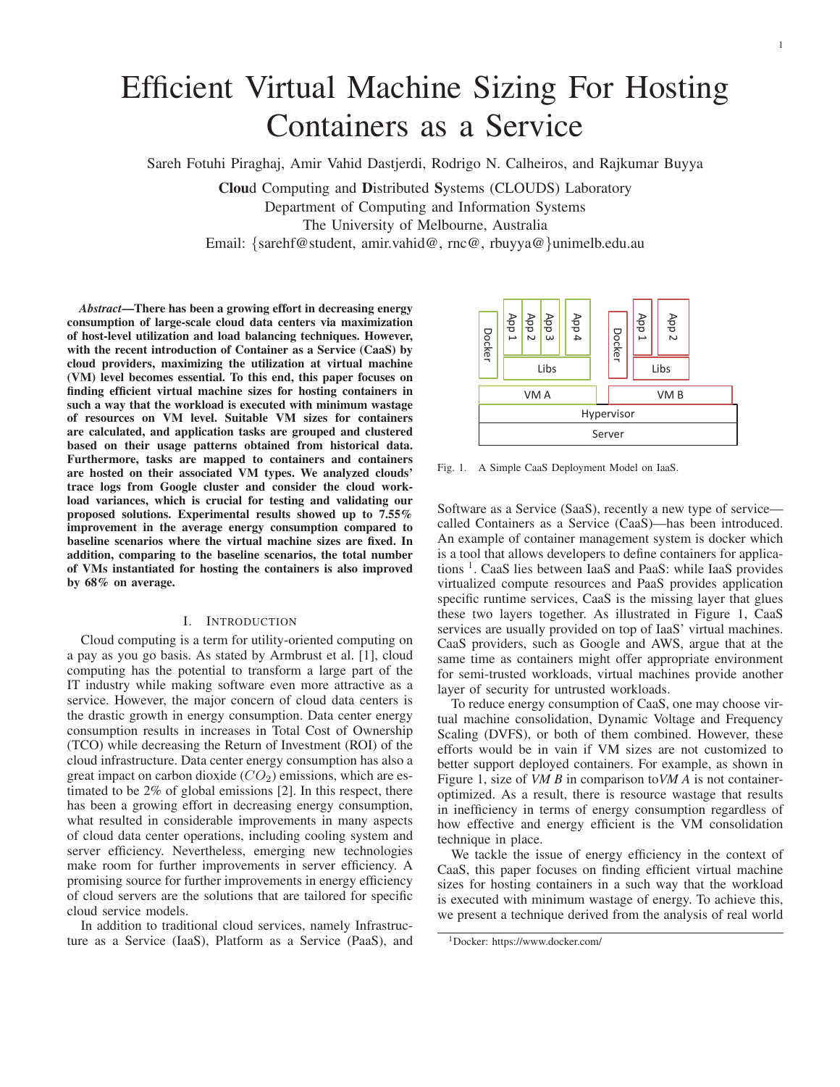# Efficient Virtual Machine Sizing For Hosting Containers as a Service

Sareh Fotuhi Piraghaj, Amir Vahid Dastjerdi, Rodrigo N. Calheiros, and Rajkumar Buyya

Cloud Computing and Distributed Systems (CLOUDS) Laboratory Department of Computing and Information Systems The University of Melbourne, Australia Email: {sarehf@student, amir.vahid@, rnc@, rbuyya@}unimelb.edu.au

*Abstract*—There has been a growing effort in decreasing energy consumption of large-scale cloud data centers via maximization of host-level utilization and load balancing techniques. However, with the recent introduction of Container as a Service (CaaS) by cloud providers, maximizing the utilization at virtual machine (VM) level becomes essential. To this end, this paper focuses on finding efficient virtual machine sizes for hosting containers in such a way that the workload is executed with minimum wastage of resources on VM level. Suitable VM sizes for containers are calculated, and application tasks are grouped and clustered based on their usage patterns obtained from historical data. Furthermore, tasks are mapped to containers and containers are hosted on their associated VM types. We analyzed clouds' trace logs from Google cluster and consider the cloud workload variances, which is crucial for testing and validating our proposed solutions. Experimental results showed up to 7.55% improvement in the average energy consumption compared to baseline scenarios where the virtual machine sizes are fixed. In addition, comparing to the baseline scenarios, the total number of VMs instantiated for hosting the containers is also improved by 68% on average.

# I. INTRODUCTION

Cloud computing is a term for utility-oriented computing on a pay as you go basis. As stated by Armbrust et al. [1], cloud computing has the potential to transform a large part of the IT industry while making software even more attractive as a service. However, the major concern of cloud data centers is the drastic growth in energy consumption. Data center energy consumption results in increases in Total Cost of Ownership (TCO) while decreasing the Return of Investment (ROI) of the cloud infrastructure. Data center energy consumption has also a great impact on carbon dioxide  $(CO_2)$  emissions, which are estimated to be 2% of global emissions [2]. In this respect, there has been a growing effort in decreasing energy consumption, what resulted in considerable improvements in many aspects of cloud data center operations, including cooling system and server efficiency. Nevertheless, emerging new technologies make room for further improvements in server efficiency. A promising source for further improvements in energy efficiency of cloud servers are the solutions that are tailored for specific cloud service models.

In addition to traditional cloud services, namely Infrastructure as a Service (IaaS), Platform as a Service (PaaS), and



1

Fig. 1. A Simple CaaS Deployment Model on IaaS.

Software as a Service (SaaS), recently a new type of service called Containers as a Service (CaaS)—has been introduced. An example of container management system is docker which is a tool that allows developers to define containers for applications 1. CaaS lies between IaaS and PaaS: while IaaS provides virtualized compute resources and PaaS provides application specific runtime services, CaaS is the missing layer that glues these two layers together. As illustrated in Figure 1, CaaS services are usually provided on top of IaaS' virtual machines. CaaS providers, such as Google and AWS, argue that at the same time as containers might offer appropriate environment for semi-trusted workloads, virtual machines provide another layer of security for untrusted workloads.

To reduce energy consumption of CaaS, one may choose virtual machine consolidation, Dynamic Voltage and Frequency Scaling (DVFS), or both of them combined. However, these efforts would be in vain if VM sizes are not customized to better support deployed containers. For example, as shown in Figure 1, size of *VM B* in comparison to*VM A* is not containeroptimized. As a result, there is resource wastage that results in inefficiency in terms of energy consumption regardless of how effective and energy efficient is the VM consolidation technique in place.

We tackle the issue of energy efficiency in the context of CaaS, this paper focuses on finding efficient virtual machine sizes for hosting containers in a such way that the workload is executed with minimum wastage of energy. To achieve this, we present a technique derived from the analysis of real world

<sup>1</sup>Docker: https://www.docker.com/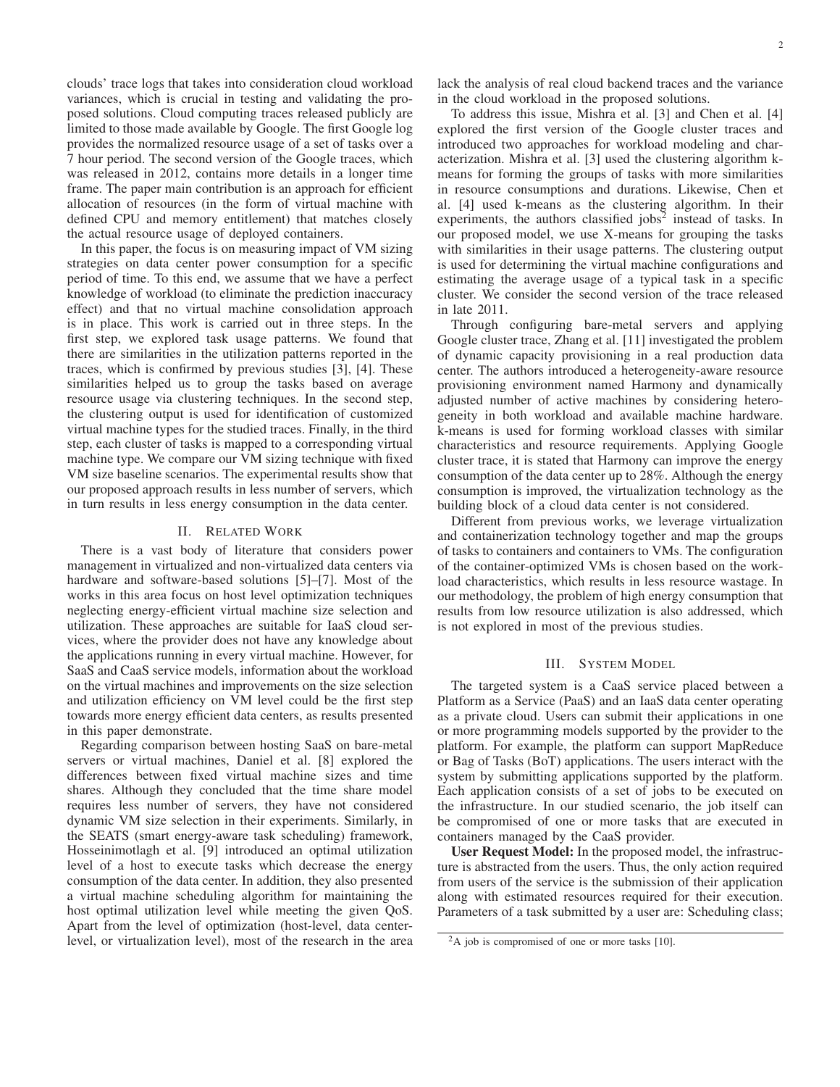clouds' trace logs that takes into consideration cloud workload variances, which is crucial in testing and validating the proposed solutions. Cloud computing traces released publicly are limited to those made available by Google. The first Google log provides the normalized resource usage of a set of tasks over a 7 hour period. The second version of the Google traces, which was released in 2012, contains more details in a longer time frame. The paper main contribution is an approach for efficient allocation of resources (in the form of virtual machine with defined CPU and memory entitlement) that matches closely the actual resource usage of deployed containers.

In this paper, the focus is on measuring impact of VM sizing strategies on data center power consumption for a specific period of time. To this end, we assume that we have a perfect knowledge of workload (to eliminate the prediction inaccuracy effect) and that no virtual machine consolidation approach is in place. This work is carried out in three steps. In the first step, we explored task usage patterns. We found that there are similarities in the utilization patterns reported in the traces, which is confirmed by previous studies [3], [4]. These similarities helped us to group the tasks based on average resource usage via clustering techniques. In the second step, the clustering output is used for identification of customized virtual machine types for the studied traces. Finally, in the third step, each cluster of tasks is mapped to a corresponding virtual machine type. We compare our VM sizing technique with fixed VM size baseline scenarios. The experimental results show that our proposed approach results in less number of servers, which in turn results in less energy consumption in the data center.

# II. RELATED WORK

There is a vast body of literature that considers power management in virtualized and non-virtualized data centers via hardware and software-based solutions [5]–[7]. Most of the works in this area focus on host level optimization techniques neglecting energy-efficient virtual machine size selection and utilization. These approaches are suitable for IaaS cloud services, where the provider does not have any knowledge about the applications running in every virtual machine. However, for SaaS and CaaS service models, information about the workload on the virtual machines and improvements on the size selection and utilization efficiency on VM level could be the first step towards more energy efficient data centers, as results presented in this paper demonstrate.

Regarding comparison between hosting SaaS on bare-metal servers or virtual machines, Daniel et al. [8] explored the differences between fixed virtual machine sizes and time shares. Although they concluded that the time share model requires less number of servers, they have not considered dynamic VM size selection in their experiments. Similarly, in the SEATS (smart energy-aware task scheduling) framework, Hosseinimotlagh et al. [9] introduced an optimal utilization level of a host to execute tasks which decrease the energy consumption of the data center. In addition, they also presented a virtual machine scheduling algorithm for maintaining the host optimal utilization level while meeting the given QoS. Apart from the level of optimization (host-level, data centerlevel, or virtualization level), most of the research in the area lack the analysis of real cloud backend traces and the variance in the cloud workload in the proposed solutions.

To address this issue, Mishra et al. [3] and Chen et al. [4] explored the first version of the Google cluster traces and introduced two approaches for workload modeling and characterization. Mishra et al. [3] used the clustering algorithm kmeans for forming the groups of tasks with more similarities in resource consumptions and durations. Likewise, Chen et al. [4] used k-means as the clustering algorithm. In their experiments, the authors classified jobs $2$  instead of tasks. In our proposed model, we use X-means for grouping the tasks with similarities in their usage patterns. The clustering output is used for determining the virtual machine configurations and estimating the average usage of a typical task in a specific cluster. We consider the second version of the trace released in late 2011.

Through configuring bare-metal servers and applying Google cluster trace, Zhang et al. [11] investigated the problem of dynamic capacity provisioning in a real production data center. The authors introduced a heterogeneity-aware resource provisioning environment named Harmony and dynamically adjusted number of active machines by considering heterogeneity in both workload and available machine hardware. k-means is used for forming workload classes with similar characteristics and resource requirements. Applying Google cluster trace, it is stated that Harmony can improve the energy consumption of the data center up to 28%. Although the energy consumption is improved, the virtualization technology as the building block of a cloud data center is not considered.

Different from previous works, we leverage virtualization and containerization technology together and map the groups of tasks to containers and containers to VMs. The configuration of the container-optimized VMs is chosen based on the workload characteristics, which results in less resource wastage. In our methodology, the problem of high energy consumption that results from low resource utilization is also addressed, which is not explored in most of the previous studies.

# III. SYSTEM MODEL

The targeted system is a CaaS service placed between a Platform as a Service (PaaS) and an IaaS data center operating as a private cloud. Users can submit their applications in one or more programming models supported by the provider to the platform. For example, the platform can support MapReduce or Bag of Tasks (BoT) applications. The users interact with the system by submitting applications supported by the platform. Each application consists of a set of jobs to be executed on the infrastructure. In our studied scenario, the job itself can be compromised of one or more tasks that are executed in containers managed by the CaaS provider.

User Request Model: In the proposed model, the infrastructure is abstracted from the users. Thus, the only action required from users of the service is the submission of their application along with estimated resources required for their execution. Parameters of a task submitted by a user are: Scheduling class;

<sup>&</sup>lt;sup>2</sup>A job is compromised of one or more tasks [10].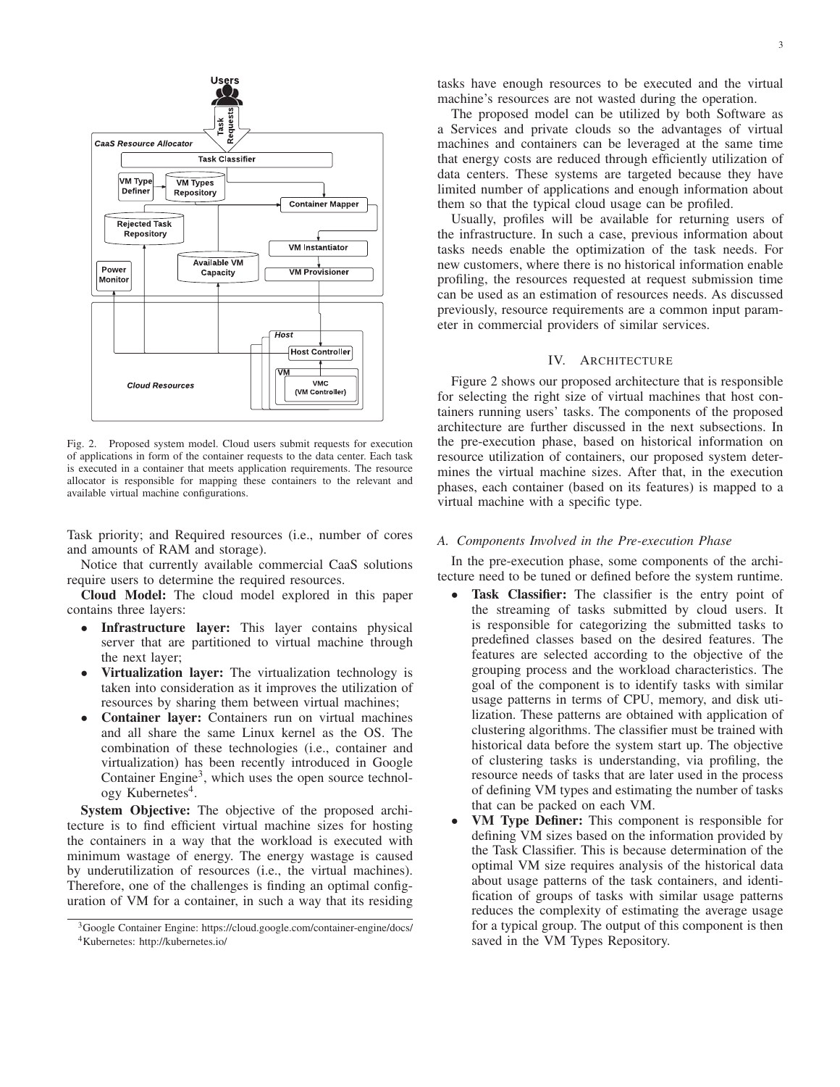

Fig. 2. Proposed system model. Cloud users submit requests for execution of applications in form of the container requests to the data center. Each task is executed in a container that meets application requirements. The resource allocator is responsible for mapping these containers to the relevant and available virtual machine configurations.

Task priority; and Required resources (i.e., number of cores and amounts of RAM and storage).

Notice that currently available commercial CaaS solutions require users to determine the required resources.

Cloud Model: The cloud model explored in this paper contains three layers:

- Infrastructure layer: This layer contains physical server that are partitioned to virtual machine through the next layer;
- Virtualization layer: The virtualization technology is taken into consideration as it improves the utilization of resources by sharing them between virtual machines;
- Container layer: Containers run on virtual machines and all share the same Linux kernel as the OS. The combination of these technologies (i.e., container and virtualization) has been recently introduced in Google Container Engine<sup>3</sup>, which uses the open source technology Kubernetes<sup>4</sup>.

System Objective: The objective of the proposed architecture is to find efficient virtual machine sizes for hosting the containers in a way that the workload is executed with minimum wastage of energy. The energy wastage is caused by underutilization of resources (i.e., the virtual machines). Therefore, one of the challenges is finding an optimal configuration of VM for a container, in such a way that its residing tasks have enough resources to be executed and the virtual machine's resources are not wasted during the operation.

The proposed model can be utilized by both Software as a Services and private clouds so the advantages of virtual machines and containers can be leveraged at the same time that energy costs are reduced through efficiently utilization of data centers. These systems are targeted because they have limited number of applications and enough information about them so that the typical cloud usage can be profiled.

Usually, profiles will be available for returning users of the infrastructure. In such a case, previous information about tasks needs enable the optimization of the task needs. For new customers, where there is no historical information enable profiling, the resources requested at request submission time can be used as an estimation of resources needs. As discussed previously, resource requirements are a common input parameter in commercial providers of similar services.

# IV. ARCHITECTURE

Figure 2 shows our proposed architecture that is responsible for selecting the right size of virtual machines that host containers running users' tasks. The components of the proposed architecture are further discussed in the next subsections. In the pre-execution phase, based on historical information on resource utilization of containers, our proposed system determines the virtual machine sizes. After that, in the execution phases, each container (based on its features) is mapped to a virtual machine with a specific type.

## *A. Components Involved in the Pre-execution Phase*

In the pre-execution phase, some components of the architecture need to be tuned or defined before the system runtime.

- Task Classifier: The classifier is the entry point of the streaming of tasks submitted by cloud users. It is responsible for categorizing the submitted tasks to predefined classes based on the desired features. The features are selected according to the objective of the grouping process and the workload characteristics. The goal of the component is to identify tasks with similar usage patterns in terms of CPU, memory, and disk utilization. These patterns are obtained with application of clustering algorithms. The classifier must be trained with historical data before the system start up. The objective of clustering tasks is understanding, via profiling, the resource needs of tasks that are later used in the process of defining VM types and estimating the number of tasks that can be packed on each VM.
- VM Type Definer: This component is responsible for defining VM sizes based on the information provided by the Task Classifier. This is because determination of the optimal VM size requires analysis of the historical data about usage patterns of the task containers, and identification of groups of tasks with similar usage patterns reduces the complexity of estimating the average usage for a typical group. The output of this component is then saved in the VM Types Repository.

<sup>3</sup>Google Container Engine: https://cloud.google.com/container-engine/docs/ 4Kubernetes: http://kubernetes.io/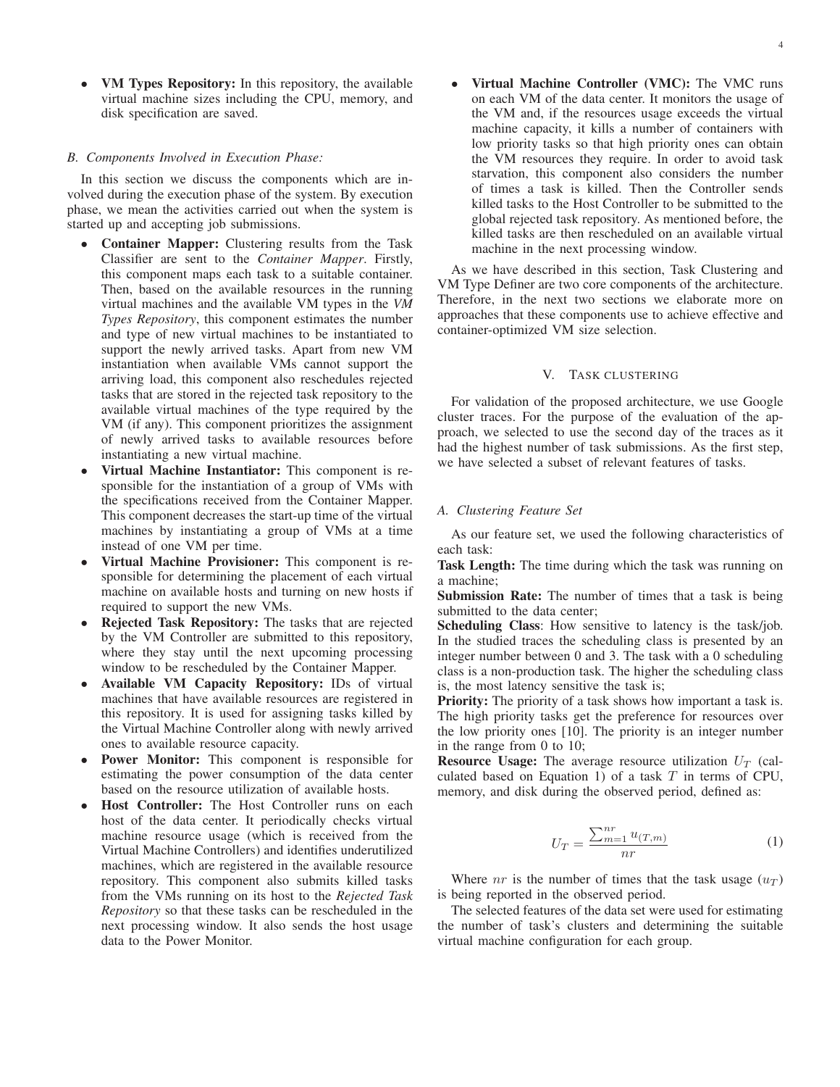• VM Types Repository: In this repository, the available virtual machine sizes including the CPU, memory, and disk specification are saved.

## *B. Components Involved in Execution Phase:*

In this section we discuss the components which are involved during the execution phase of the system. By execution phase, we mean the activities carried out when the system is started up and accepting job submissions.

- Container Mapper: Clustering results from the Task Classifier are sent to the *Container Mapper*. Firstly, this component maps each task to a suitable container. Then, based on the available resources in the running virtual machines and the available VM types in the *VM Types Repository*, this component estimates the number and type of new virtual machines to be instantiated to support the newly arrived tasks. Apart from new VM instantiation when available VMs cannot support the arriving load, this component also reschedules rejected tasks that are stored in the rejected task repository to the available virtual machines of the type required by the VM (if any). This component prioritizes the assignment of newly arrived tasks to available resources before instantiating a new virtual machine.
- Virtual Machine Instantiator: This component is responsible for the instantiation of a group of VMs with the specifications received from the Container Mapper. This component decreases the start-up time of the virtual machines by instantiating a group of VMs at a time instead of one VM per time.
- Virtual Machine Provisioner: This component is responsible for determining the placement of each virtual machine on available hosts and turning on new hosts if required to support the new VMs.
- Rejected Task Repository: The tasks that are rejected by the VM Controller are submitted to this repository, where they stay until the next upcoming processing window to be rescheduled by the Container Mapper.
- Available VM Capacity Repository: IDs of virtual machines that have available resources are registered in this repository. It is used for assigning tasks killed by the Virtual Machine Controller along with newly arrived ones to available resource capacity.
- Power Monitor: This component is responsible for estimating the power consumption of the data center based on the resource utilization of available hosts.
- Host Controller: The Host Controller runs on each host of the data center. It periodically checks virtual machine resource usage (which is received from the Virtual Machine Controllers) and identifies underutilized machines, which are registered in the available resource repository. This component also submits killed tasks from the VMs running on its host to the *Rejected Task Repository* so that these tasks can be rescheduled in the next processing window. It also sends the host usage data to the Power Monitor.

4

• Virtual Machine Controller (VMC): The VMC runs on each VM of the data center. It monitors the usage of the VM and, if the resources usage exceeds the virtual machine capacity, it kills a number of containers with low priority tasks so that high priority ones can obtain the VM resources they require. In order to avoid task starvation, this component also considers the number of times a task is killed. Then the Controller sends killed tasks to the Host Controller to be submitted to the global rejected task repository. As mentioned before, the killed tasks are then rescheduled on an available virtual machine in the next processing window.

As we have described in this section, Task Clustering and VM Type Definer are two core components of the architecture. Therefore, in the next two sections we elaborate more on approaches that these components use to achieve effective and container-optimized VM size selection.

# V. TASK CLUSTERING

For validation of the proposed architecture, we use Google cluster traces. For the purpose of the evaluation of the approach, we selected to use the second day of the traces as it had the highest number of task submissions. As the first step, we have selected a subset of relevant features of tasks.

#### *A. Clustering Feature Set*

As our feature set, we used the following characteristics of each task:

Task Length: The time during which the task was running on a machine;

Submission Rate: The number of times that a task is being submitted to the data center;

Scheduling Class: How sensitive to latency is the task/job. In the studied traces the scheduling class is presented by an integer number between 0 and 3. The task with a 0 scheduling class is a non-production task. The higher the scheduling class is, the most latency sensitive the task is;

Priority: The priority of a task shows how important a task is. The high priority tasks get the preference for resources over the low priority ones [10]. The priority is an integer number in the range from 0 to 10;

**Resource Usage:** The average resource utilization  $U_T$  (calculated based on Equation 1) of a task  $T$  in terms of CPU, memory, and disk during the observed period, defined as:

$$
U_T = \frac{\sum_{m=1}^{nr} u_{(T,m)}}{nr}
$$
 (1)

Where nr is the number of times that the task usage  $(u_T)$ is being reported in the observed period.

The selected features of the data set were used for estimating the number of task's clusters and determining the suitable virtual machine configuration for each group.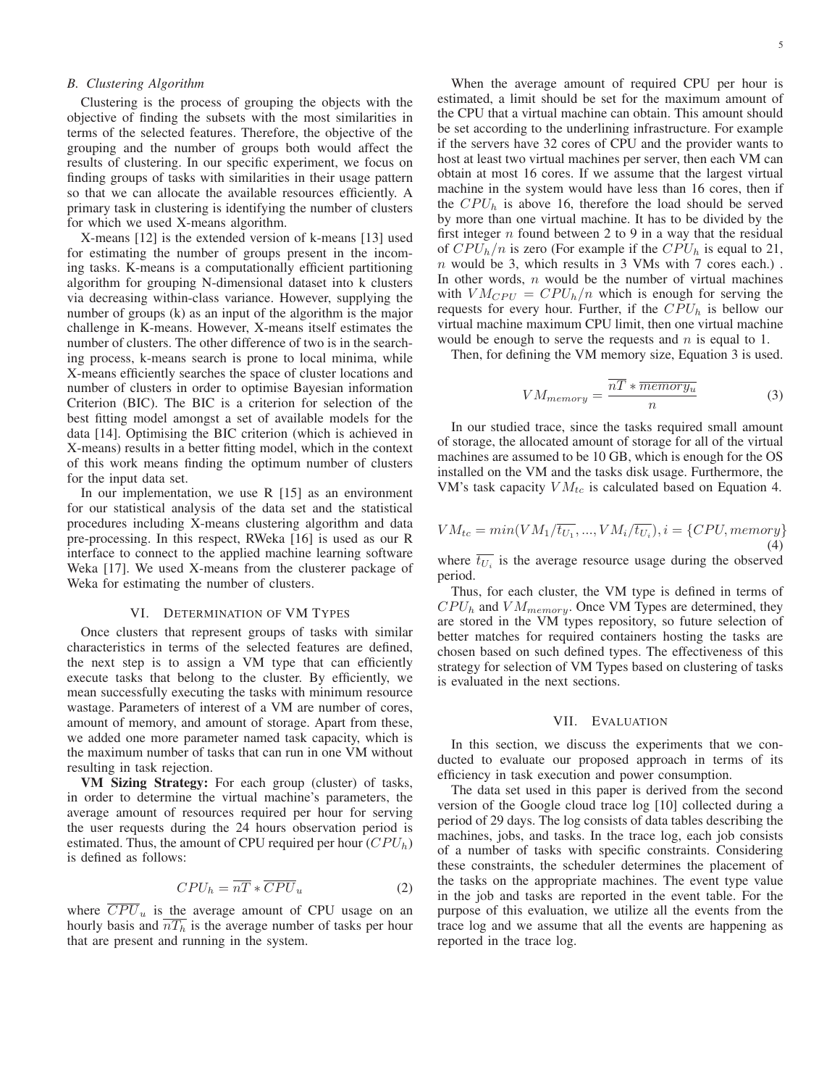# *B. Clustering Algorithm*

Clustering is the process of grouping the objects with the objective of finding the subsets with the most similarities in terms of the selected features. Therefore, the objective of the grouping and the number of groups both would affect the results of clustering. In our specific experiment, we focus on finding groups of tasks with similarities in their usage pattern so that we can allocate the available resources efficiently. A primary task in clustering is identifying the number of clusters for which we used X-means algorithm.

X-means [12] is the extended version of k-means [13] used for estimating the number of groups present in the incoming tasks. K-means is a computationally efficient partitioning algorithm for grouping N-dimensional dataset into k clusters via decreasing within-class variance. However, supplying the number of groups (k) as an input of the algorithm is the major challenge in K-means. However, X-means itself estimates the number of clusters. The other difference of two is in the searching process, k-means search is prone to local minima, while X-means efficiently searches the space of cluster locations and number of clusters in order to optimise Bayesian information Criterion (BIC). The BIC is a criterion for selection of the best fitting model amongst a set of available models for the data [14]. Optimising the BIC criterion (which is achieved in X-means) results in a better fitting model, which in the context of this work means finding the optimum number of clusters for the input data set.

In our implementation, we use  $R$  [15] as an environment for our statistical analysis of the data set and the statistical procedures including X-means clustering algorithm and data pre-processing. In this respect, RWeka [16] is used as our R interface to connect to the applied machine learning software Weka [17]. We used X-means from the clusterer package of Weka for estimating the number of clusters.

## VI. DETERMINATION OF VM TYPES

Once clusters that represent groups of tasks with similar characteristics in terms of the selected features are defined, the next step is to assign a VM type that can efficiently execute tasks that belong to the cluster. By efficiently, we mean successfully executing the tasks with minimum resource wastage. Parameters of interest of a VM are number of cores, amount of memory, and amount of storage. Apart from these, we added one more parameter named task capacity, which is the maximum number of tasks that can run in one VM without resulting in task rejection.

VM Sizing Strategy: For each group (cluster) of tasks, in order to determine the virtual machine's parameters, the average amount of resources required per hour for serving the user requests during the 24 hours observation period is estimated. Thus, the amount of CPU required per hour  $(CPU<sub>h</sub>)$ is defined as follows:

$$
CPU_h = \overline{nT} * \overline{CPU}_u \tag{2}
$$

where  $\overline{CPU}_u$  is the average amount of CPU usage on an hourly basis and  $\overline{nT_h}$  is the average number of tasks per hour that are present and running in the system.

5

When the average amount of required CPU per hour is estimated, a limit should be set for the maximum amount of the CPU that a virtual machine can obtain. This amount should be set according to the underlining infrastructure. For example if the servers have 32 cores of CPU and the provider wants to host at least two virtual machines per server, then each VM can obtain at most 16 cores. If we assume that the largest virtual machine in the system would have less than 16 cores, then if the  $CPU<sub>h</sub>$  is above 16, therefore the load should be served by more than one virtual machine. It has to be divided by the first integer  $n$  found between 2 to 9 in a way that the residual of  $CPU_h/n$  is zero (For example if the  $CPU_h$  is equal to 21, n would be 3, which results in 3 VMs with 7 cores each.) . In other words,  $n$  would be the number of virtual machines with  $VM_{CPU} = CPU_h/n$  which is enough for serving the requests for every hour. Further, if the  $CPU<sub>h</sub>$  is bellow our virtual machine maximum CPU limit, then one virtual machine would be enough to serve the requests and  $n$  is equal to 1.

Then, for defining the VM memory size, Equation 3 is used.

$$
VM_{memory} = \frac{\overline{nT} * \overline{memory_u}}{n}
$$
 (3)

In our studied trace, since the tasks required small amount of storage, the allocated amount of storage for all of the virtual machines are assumed to be 10 GB, which is enough for the OS installed on the VM and the tasks disk usage. Furthermore, the VM's task capacity  $VM_{tc}$  is calculated based on Equation 4.

$$
VM_{tc} = min(VM_1/\overline{t_{U_1}}, ..., VM_i/\overline{t_{U_i}}), i = \{CPU, memory\}
$$
\n(4)

where  $\overline{t_{U_i}}$  is the average resource usage during the observed period.

Thus, for each cluster, the VM type is defined in terms of  $CPU_h$  and  $VM_{memory}$ . Once VM Types are determined, they are stored in the VM types repository, so future selection of better matches for required containers hosting the tasks are chosen based on such defined types. The effectiveness of this strategy for selection of VM Types based on clustering of tasks is evaluated in the next sections.

## VII. EVALUATION

In this section, we discuss the experiments that we conducted to evaluate our proposed approach in terms of its efficiency in task execution and power consumption.

The data set used in this paper is derived from the second version of the Google cloud trace log [10] collected during a period of 29 days. The log consists of data tables describing the machines, jobs, and tasks. In the trace log, each job consists of a number of tasks with specific constraints. Considering these constraints, the scheduler determines the placement of the tasks on the appropriate machines. The event type value in the job and tasks are reported in the event table. For the purpose of this evaluation, we utilize all the events from the trace log and we assume that all the events are happening as reported in the trace log.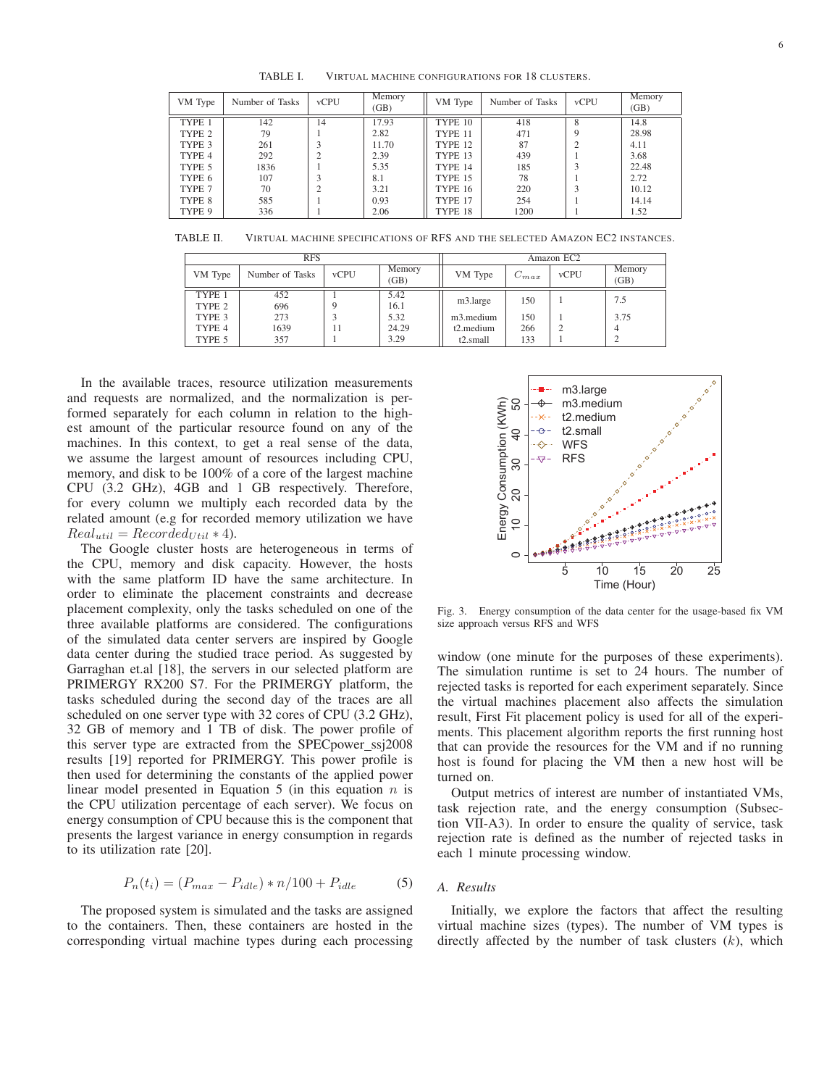TABLE I. VIRTUAL MACHINE CONFIGURATIONS FOR 18 CLUSTERS.

| VM Type | Number of Tasks | <b>vCPU</b>    | Memory<br>(GB) | VM Type        | Number of Tasks | <b>vCPU</b> | Memory<br>(GB) |
|---------|-----------------|----------------|----------------|----------------|-----------------|-------------|----------------|
| TYPE 1  | 142             | 14             | 17.93          | TYPE 10        | 418             | 8           | 14.8           |
| TYPE 2  | 79              |                | 2.82           | TYPE 11        | 471             | Q           | 28.98          |
| TYPE 3  | 261             | 3              | 11.70          | TYPE 12        | 87              | ↑           | 4.11           |
| TYPE 4  | 292             | C              | 2.39           | TYPE 13        | 439             |             | 3.68           |
| TYPE 5  | 1836            |                | 5.35           | TYPE 14        | 185             | 3           | 22.48          |
| TYPE 6  | 107             | 3              | 8.1            | <b>TYPE 15</b> | 78              |             | 2.72           |
| TYPE 7  | 70              | $\overline{c}$ | 3.21           | <b>TYPE 16</b> | 220             | 3           | 10.12          |
| TYPE 8  | 585             |                | 0.93           | TYPE 17        | 254             |             | 14.14          |
| TYPE 9  | 336             |                | 2.06           | TYPE 18        | 1200            |             | 1.52           |

TABLE II. VIRTUAL MACHINE SPECIFICATIONS OF RFS AND THE SELECTED AMAZON EC2 INSTANCES.

|         | <b>RFS</b>      | Amazon EC2  |                |                        |           |             |                |
|---------|-----------------|-------------|----------------|------------------------|-----------|-------------|----------------|
| VM Type | Number of Tasks | <b>vCPU</b> | Memory<br>(GB) | VM Type                | $C_{max}$ | <b>vCPU</b> | Memory<br>(GB) |
| TYPE 1  | 452             |             | 5.42           | m3.large               | 150       |             | 7.5            |
| TYPE 2  | 696             |             | 16.1           |                        |           |             |                |
| TYPE 3  | 273             |             | 5.32           | m <sub>3</sub> .medium | 150       |             | 3.75           |
| TYPE 4  | 1639            | 11          | 24.29          | $t2$ . medium          | 266       |             |                |
| TYPE 5  | 357             |             | 3.29           | t2.small               | 133       |             |                |

In the available traces, resource utilization measurements and requests are normalized, and the normalization is performed separately for each column in relation to the highest amount of the particular resource found on any of the machines. In this context, to get a real sense of the data, we assume the largest amount of resources including CPU, memory, and disk to be 100% of a core of the largest machine CPU (3.2 GHz), 4GB and 1 GB respectively. Therefore, for every column we multiply each recorded data by the related amount (e.g for recorded memory utilization we have  $Real_{util} = Recorded_{Util} * 4).$ 

The Google cluster hosts are heterogeneous in terms of the CPU, memory and disk capacity. However, the hosts with the same platform ID have the same architecture. In order to eliminate the placement constraints and decrease placement complexity, only the tasks scheduled on one of the three available platforms are considered. The configurations of the simulated data center servers are inspired by Google data center during the studied trace period. As suggested by Garraghan et.al [18], the servers in our selected platform are PRIMERGY RX200 S7. For the PRIMERGY platform, the tasks scheduled during the second day of the traces are all scheduled on one server type with 32 cores of CPU (3.2 GHz), 32 GB of memory and 1 TB of disk. The power profile of this server type are extracted from the SPECpower\_ssj2008 results [19] reported for PRIMERGY. This power profile is then used for determining the constants of the applied power linear model presented in Equation 5 (in this equation  $n$  is the CPU utilization percentage of each server). We focus on energy consumption of CPU because this is the component that presents the largest variance in energy consumption in regards to its utilization rate [20].

$$
P_n(t_i) = (P_{max} - P_{idle}) * n/100 + P_{idle}
$$
 (5)

The proposed system is simulated and the tasks are assigned to the containers. Then, these containers are hosted in the corresponding virtual machine types during each processing



Fig. 3. Energy consumption of the data center for the usage-based fix VM size approach versus RFS and WFS

window (one minute for the purposes of these experiments). The simulation runtime is set to 24 hours. The number of rejected tasks is reported for each experiment separately. Since the virtual machines placement also affects the simulation result, First Fit placement policy is used for all of the experiments. This placement algorithm reports the first running host that can provide the resources for the VM and if no running host is found for placing the VM then a new host will be turned on.

Output metrics of interest are number of instantiated VMs, task rejection rate, and the energy consumption (Subsection VII-A3). In order to ensure the quality of service, task rejection rate is defined as the number of rejected tasks in each 1 minute processing window.

## *A. Results*

Initially, we explore the factors that affect the resulting virtual machine sizes (types). The number of VM types is directly affected by the number of task clusters  $(k)$ , which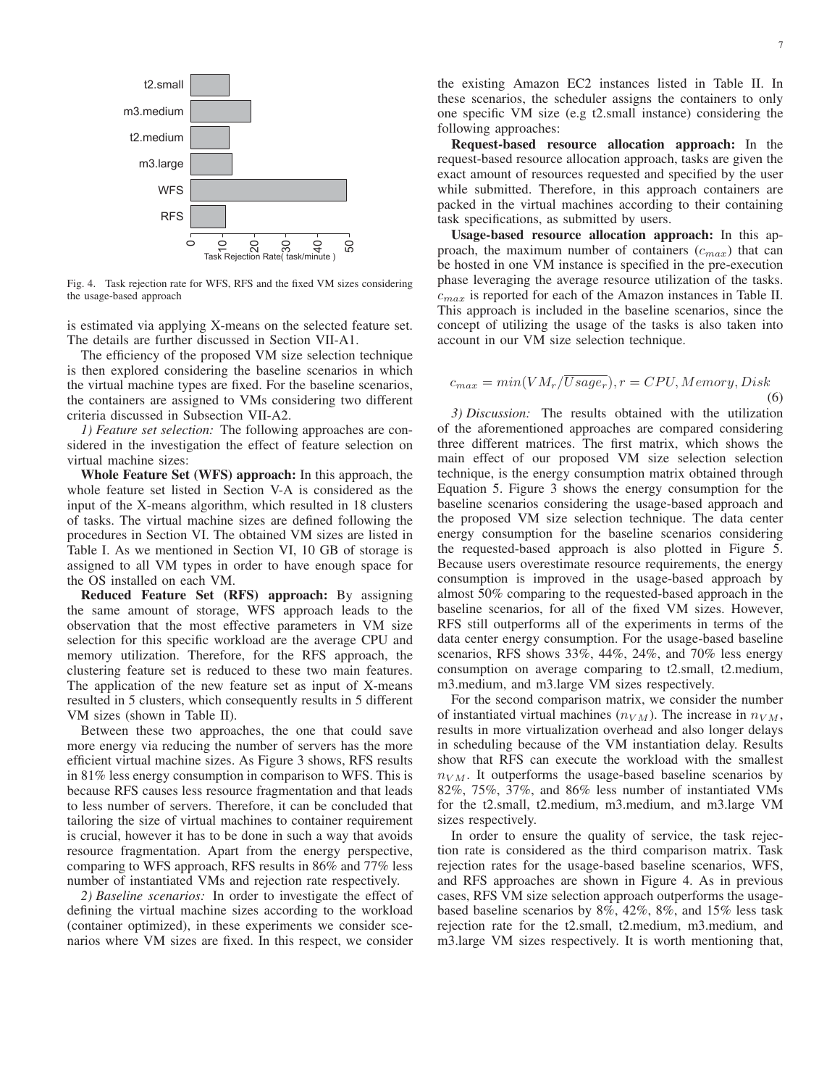

Fig. 4. Task rejection rate for WFS, RFS and the fixed VM sizes considering the usage-based approach

is estimated via applying X-means on the selected feature set. The details are further discussed in Section VII-A1.

The efficiency of the proposed VM size selection technique is then explored considering the baseline scenarios in which the virtual machine types are fixed. For the baseline scenarios, the containers are assigned to VMs considering two different criteria discussed in Subsection VII-A2.

*1) Feature set selection:* The following approaches are considered in the investigation the effect of feature selection on virtual machine sizes:

Whole Feature Set (WFS) approach: In this approach, the whole feature set listed in Section V-A is considered as the input of the X-means algorithm, which resulted in 18 clusters of tasks. The virtual machine sizes are defined following the procedures in Section VI. The obtained VM sizes are listed in Table I. As we mentioned in Section VI, 10 GB of storage is assigned to all VM types in order to have enough space for the OS installed on each VM.

Reduced Feature Set (RFS) approach: By assigning the same amount of storage, WFS approach leads to the observation that the most effective parameters in VM size selection for this specific workload are the average CPU and memory utilization. Therefore, for the RFS approach, the clustering feature set is reduced to these two main features. The application of the new feature set as input of X-means resulted in 5 clusters, which consequently results in 5 different VM sizes (shown in Table II).

Between these two approaches, the one that could save more energy via reducing the number of servers has the more efficient virtual machine sizes. As Figure 3 shows, RFS results in 81% less energy consumption in comparison to WFS. This is because RFS causes less resource fragmentation and that leads to less number of servers. Therefore, it can be concluded that tailoring the size of virtual machines to container requirement is crucial, however it has to be done in such a way that avoids resource fragmentation. Apart from the energy perspective, comparing to WFS approach, RFS results in 86% and 77% less number of instantiated VMs and rejection rate respectively.

*2) Baseline scenarios:* In order to investigate the effect of defining the virtual machine sizes according to the workload (container optimized), in these experiments we consider scenarios where VM sizes are fixed. In this respect, we consider the existing Amazon EC2 instances listed in Table II. In these scenarios, the scheduler assigns the containers to only one specific VM size (e.g t2.small instance) considering the following approaches:

Request-based resource allocation approach: In the request-based resource allocation approach, tasks are given the exact amount of resources requested and specified by the user while submitted. Therefore, in this approach containers are packed in the virtual machines according to their containing task specifications, as submitted by users.

Usage-based resource allocation approach: In this approach, the maximum number of containers  $(c_{max})$  that can be hosted in one VM instance is specified in the pre-execution phase leveraging the average resource utilization of the tasks.  $c_{max}$  is reported for each of the Amazon instances in Table II. This approach is included in the baseline scenarios, since the concept of utilizing the usage of the tasks is also taken into account in our VM size selection technique.

$$
c_{max} = min(VM_r/\overline{Usage_r}), r = CPU, Memory, Disk
$$
\n(6)

*3) Discussion:* The results obtained with the utilization of the aforementioned approaches are compared considering three different matrices. The first matrix, which shows the main effect of our proposed VM size selection selection technique, is the energy consumption matrix obtained through Equation 5. Figure 3 shows the energy consumption for the baseline scenarios considering the usage-based approach and the proposed VM size selection technique. The data center energy consumption for the baseline scenarios considering the requested-based approach is also plotted in Figure 5. Because users overestimate resource requirements, the energy consumption is improved in the usage-based approach by almost 50% comparing to the requested-based approach in the baseline scenarios, for all of the fixed VM sizes. However, RFS still outperforms all of the experiments in terms of the data center energy consumption. For the usage-based baseline scenarios, RFS shows 33%, 44%, 24%, and 70% less energy consumption on average comparing to t2.small, t2.medium, m3.medium, and m3.large VM sizes respectively.

For the second comparison matrix, we consider the number of instantiated virtual machines  $(n_{VM})$ . The increase in  $n_{VM}$ , results in more virtualization overhead and also longer delays in scheduling because of the VM instantiation delay. Results show that RFS can execute the workload with the smallest  $n_{VM}$ . It outperforms the usage-based baseline scenarios by 82%, 75%, 37%, and 86% less number of instantiated VMs for the t2.small, t2.medium, m3.medium, and m3.large VM sizes respectively.

In order to ensure the quality of service, the task rejection rate is considered as the third comparison matrix. Task rejection rates for the usage-based baseline scenarios, WFS, and RFS approaches are shown in Figure 4. As in previous cases, RFS VM size selection approach outperforms the usagebased baseline scenarios by 8%, 42%, 8%, and 15% less task rejection rate for the t2.small, t2.medium, m3.medium, and m3.large VM sizes respectively. It is worth mentioning that,